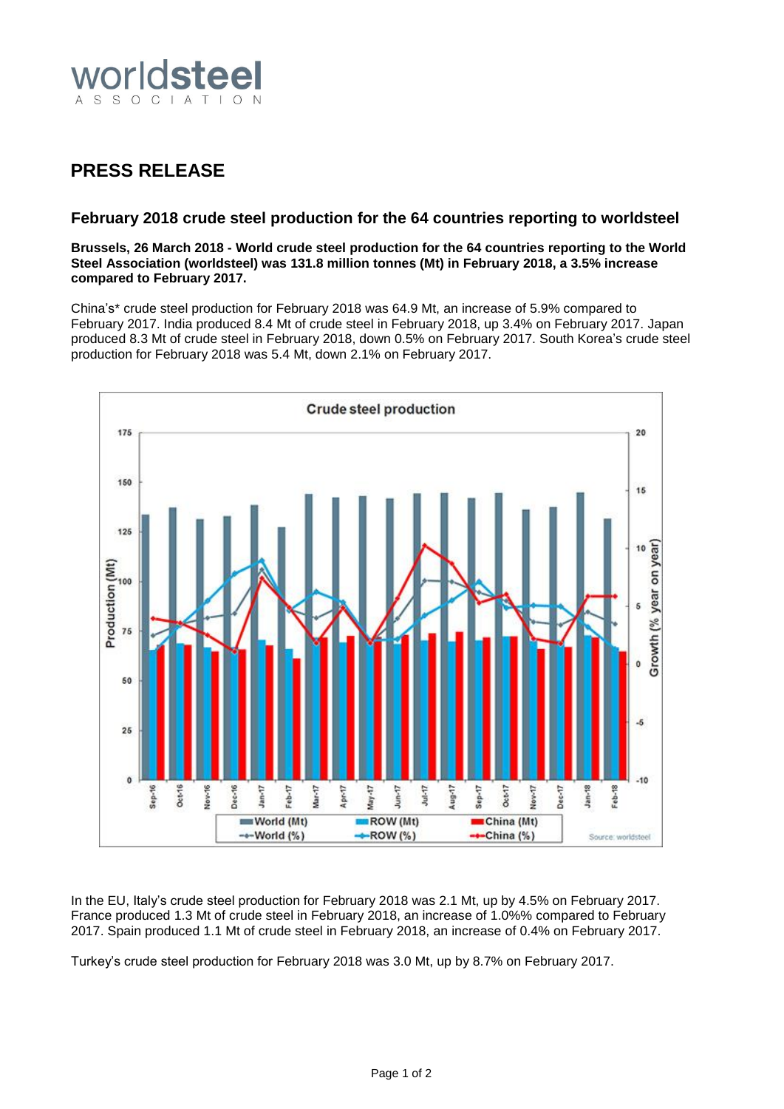

## **PRESS RELEASE**

## **February 2018 crude steel production for the 64 countries reporting to worldsteel**

**Brussels, 26 March 2018 - World crude steel production for the 64 countries reporting to the World Steel Association (worldsteel) was 131.8 million tonnes (Mt) in February 2018, a 3.5% increase compared to February 2017.**

China's\* crude steel production for February 2018 was 64.9 Mt, an increase of 5.9% compared to February 2017. India produced 8.4 Mt of crude steel in February 2018, up 3.4% on February 2017. Japan produced 8.3 Mt of crude steel in February 2018, down 0.5% on February 2017. South Korea's crude steel production for February 2018 was 5.4 Mt, down 2.1% on February 2017.



In the EU, Italy's crude steel production for February 2018 was 2.1 Mt, up by 4.5% on February 2017. France produced 1.3 Mt of crude steel in February 2018, an increase of 1.0%% compared to February 2017. Spain produced 1.1 Mt of crude steel in February 2018, an increase of 0.4% on February 2017.

Turkey's crude steel production for February 2018 was 3.0 Mt, up by 8.7% on February 2017.